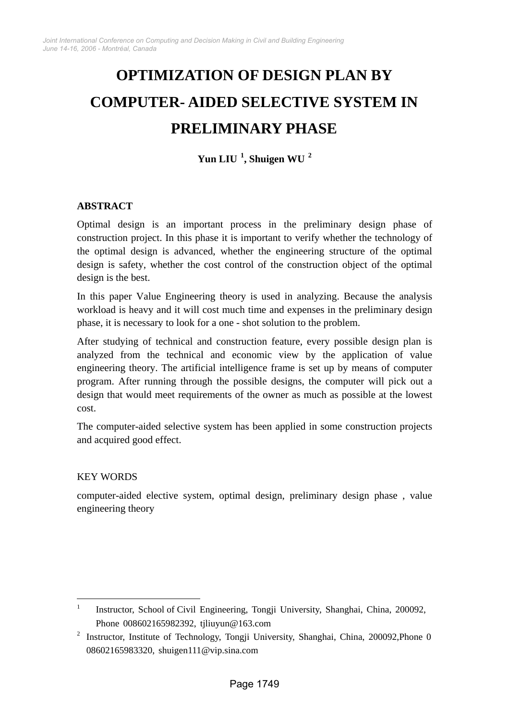# **OPTIMIZATION OF DESIGN PLAN BY COMPUTER- AIDED SELECTIVE SYSTEM IN PRELIMINARY PHASE**

**Yun LIU 1, Shuigen WU 2**

# **ABSTRACT**

Optimal design is an important process in the preliminary design phase of construction project. In this phase it is important to verify whether the technology of the optimal design is advanced, whether the engineering structure of the optimal design is safety, whether the cost control of the construction object of the optimal design is the best.

In this paper Value Engineering theory is used in analyzing. Because the analysis workload is heavy and it will cost much time and expenses in the preliminary design phase, it is necessary to look for a one - shot solution to the problem.

After studying of technical and construction feature, every possible design plan is analyzed from the technical and economic view by the application of value engineering theory. The artificial intelligence frame is set up by means of computer program. After running through the possible designs, the computer will pick out a design that would meet requirements of the owner as much as possible at the lowest cost.

The computer-aided selective system has been applied in some construction projects and acquired good effect.

## KEY WORDS

 $\overline{a}$ 

computer-aided elective system, optimal design, preliminary design phase , value engineering theory

<sup>1</sup> Instructor, School of Civil Engineering, Tongji University, Shanghai, China, 200092, Phone 008602165982392, tjliuyun@163.com

<sup>&</sup>lt;sup>2</sup> Instructor, Institute of Technology, Tongji University, Shanghai, China, 200092, Phone 0 08602165983320, shuigen111@vip.sina.com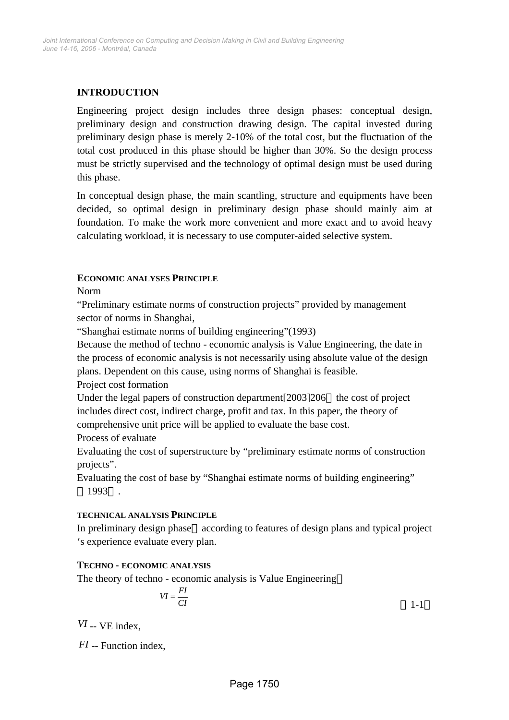# **INTRODUCTION**

Engineering project design includes three design phases: conceptual design, preliminary design and construction drawing design. The capital invested during preliminary design phase is merely 2-10% of the total cost, but the fluctuation of the total cost produced in this phase should be higher than 30%. So the design process must be strictly supervised and the technology of optimal design must be used during this phase.

In conceptual design phase, the main scantling, structure and equipments have been decided, so optimal design in preliminary design phase should mainly aim at foundation. To make the work more convenient and more exact and to avoid heavy calculating workload, it is necessary to use computer-aided selective system.

#### **ECONOMIC ANALYSES PRINCIPLE**

Norm

"Preliminary estimate norms of construction projects" provided by management sector of norms in Shanghai,

"Shanghai estimate norms of building engineering"(1993)

Because the method of techno - economic analysis is Value Engineering, the date in the process of economic analysis is not necessarily using absolute value of the design plans. Dependent on this cause, using norms of Shanghai is feasible.

Project cost formation

Under the legal papers of construction department [2003] 206 the cost of project includes direct cost, indirect charge, profit and tax. In this paper, the theory of comprehensive unit price will be applied to evaluate the base cost.

Process of evaluate

Evaluating the cost of superstructure by "preliminary estimate norms of construction projects".

Evaluating the cost of base by "Shanghai estimate norms of building engineering" 1993 .

#### **TECHNICAL ANALYSIS PRINCIPLE**

In preliminary design phase according to features of design plans and typical project 's experience evaluate every plan.

## **TECHNO - ECONOMIC ANALYSIS**

The theory of techno - economic analysis is Value Engineering

$$
VI = \frac{FI}{CI}
$$

*VI* -- VE index,

*FI* -- Function index,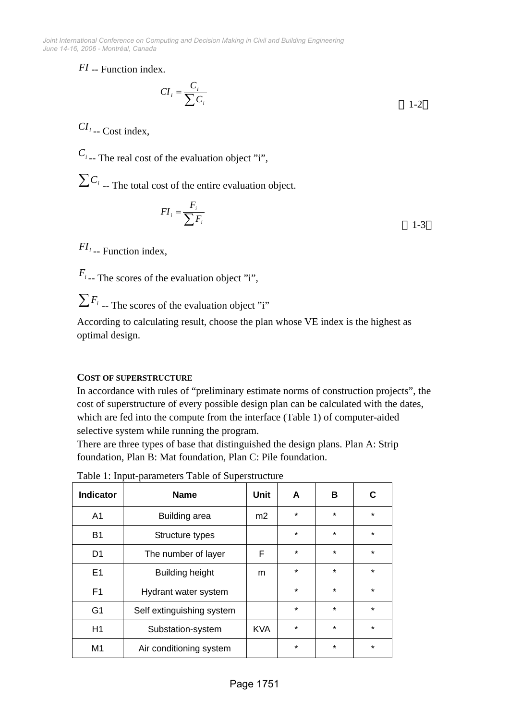*June 14-16, 2006 - Montréal, Canada Joint International Conference on Computing and Decision Making in Civil and Building Engineering*

*FI* -- Function index.

$$
CI_i = \frac{C_i}{\sum C_i}
$$

 $CI_{i}$  -- Cost index,

 $C_i$ <sub>--</sub> The real cost of the evaluation object "i",

 $\sum C_i$  -- The total cost of the entire evaluation object.

$$
FI_i = \frac{F_i}{\sum F_i}
$$

*FI*<sub>*i* -- Function index,</sub>

 $F_i$  -- The scores of the evaluation object "i",

 $\sum F_i$ <sub>--</sub> The scores of the evaluation object "i"

According to calculating result, choose the plan whose VE index is the highest as optimal design.

# **COST OF SUPERSTRUCTURE**

In accordance with rules of "preliminary estimate norms of construction projects", the cost of superstructure of every possible design plan can be calculated with the dates, which are fed into the compute from the interface (Table 1) of computer-aided selective system while running the program.

There are three types of base that distinguished the design plans. Plan A: Strip foundation, Plan B: Mat foundation, Plan C: Pile foundation.

| <b>Indicator</b> | <b>Name</b>               | <b>Unit</b>    | A       | в       | C       |
|------------------|---------------------------|----------------|---------|---------|---------|
| A <sub>1</sub>   | Building area             | m <sub>2</sub> | $\ast$  | $\star$ | $\star$ |
| <b>B1</b>        | Structure types           |                | $\ast$  | $\star$ | $\star$ |
| D <sub>1</sub>   | The number of layer       | F              | $\ast$  | $\star$ | $\star$ |
| E1               | <b>Building height</b>    | m              | $\star$ | $\star$ | $\star$ |
| F <sub>1</sub>   | Hydrant water system      |                | $\star$ | $\star$ | $\star$ |
| G <sub>1</sub>   | Self extinguishing system |                | $\star$ | $\star$ | $\star$ |
| H1               | Substation-system         | <b>KVA</b>     | $\star$ | $\star$ | $\star$ |
| M1               | Air conditioning system   |                | $\star$ | $\star$ | $\star$ |

Table 1: Input-parameters Table of Superstructure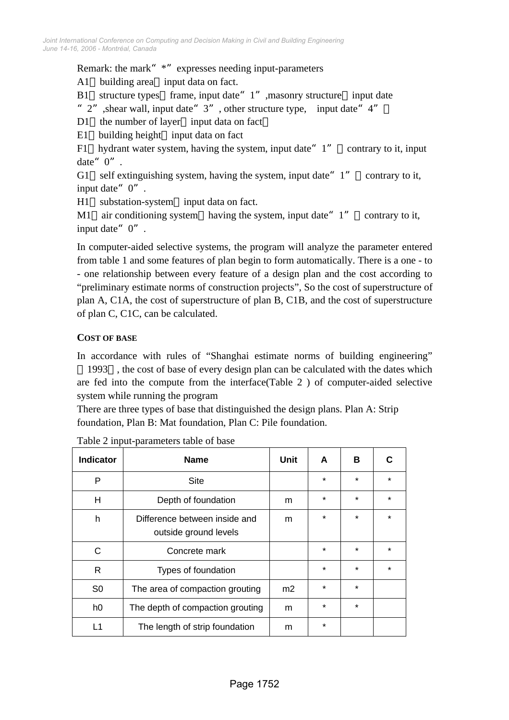## Remark: the mark" \*" expresses needing input-parameters

A1 building area input data on fact.

B1 structure types frame, input date" 1", masonry structure input date

- " $2$ ", shear wall, input date"  $3$ ", other structure type, input date"  $4$ "
- D1 the number of layer input data on fact
- E1 building height input data on fact

F1 hydrant water system, having the system, input date  $1''$  contrary to it, input date"  $0$ ".

G1 self extinguishing system, having the system, input date  $1''$  contrary to it, input date"0".

H1 substation-system input data on fact.

M1 air conditioning system having the system, input date  $1''$  contrary to it, input date"  $0$ ".

In computer-aided selective systems, the program will analyze the parameter entered from table 1 and some features of plan begin to form automatically. There is a one - to - one relationship between every feature of a design plan and the cost according to "preliminary estimate norms of construction projects", So the cost of superstructure of plan A, C1A, the cost of superstructure of plan B, C1B, and the cost of superstructure of plan C, C1C, can be calculated.

## **COST OF BASE**

In accordance with rules of "Shanghai estimate norms of building engineering"

1993 , the cost of base of every design plan can be calculated with the dates which are fed into the compute from the interface(Table 2 ) of computer-aided selective system while running the program

There are three types of base that distinguished the design plans. Plan A: Strip foundation, Plan B: Mat foundation, Plan C: Pile foundation.

| <b>Indicator</b> | <b>Name</b>                                            | Unit           | A       | В       | C       |
|------------------|--------------------------------------------------------|----------------|---------|---------|---------|
| P                | <b>Site</b>                                            |                | $\ast$  | $\star$ | $\star$ |
| H                | Depth of foundation                                    | m              | $\ast$  | $\star$ | $\star$ |
| h                | Difference between inside and<br>outside ground levels | m              | $\ast$  | $\star$ | $\star$ |
| C                | Concrete mark                                          |                | $\ast$  | $\star$ | $\star$ |
| R                | Types of foundation                                    |                | $\star$ | $\star$ | $\star$ |
| S <sub>0</sub>   | The area of compaction grouting                        | m <sub>2</sub> | $\ast$  | $\star$ |         |
| h <sub>0</sub>   | The depth of compaction grouting                       | m              | $\star$ | $\star$ |         |
| L1               | The length of strip foundation                         | m              | $\ast$  |         |         |

Table 2 input-parameters table of base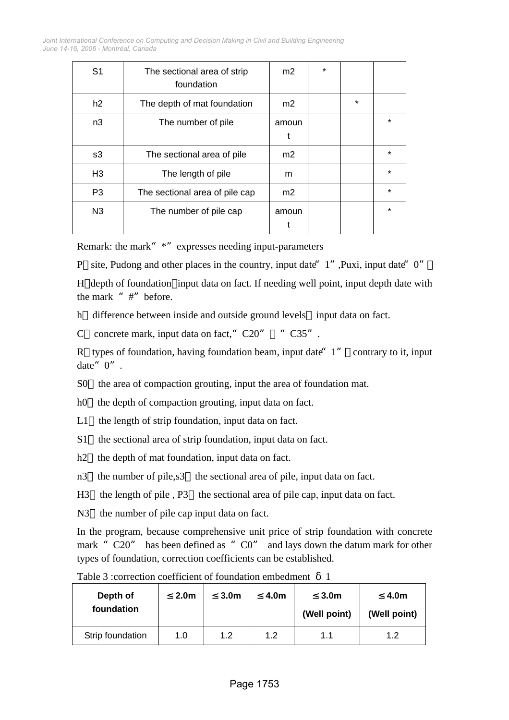*June 14-16, 2006 - Montréal, Canada Joint International Conference on Computing and Decision Making in Civil and Building Engineering*

| S <sub>1</sub> | The sectional area of strip<br>foundation | m <sub>2</sub> | $\ast$ |         |         |
|----------------|-------------------------------------------|----------------|--------|---------|---------|
| h2             | The depth of mat foundation               | m <sub>2</sub> |        | $\star$ |         |
| n3             | The number of pile                        | amoun<br>t     |        |         | $\star$ |
| s3             | The sectional area of pile                | m <sub>2</sub> |        |         | $\star$ |
| H <sub>3</sub> | The length of pile                        | m              |        |         | $\star$ |
| P <sub>3</sub> | The sectional area of pile cap            | m <sub>2</sub> |        |         | $\star$ |
| N <sub>3</sub> | The number of pile cap                    | amoun          |        |         | $\star$ |

Remark: the mark" \*" expresses needing input-parameters

P site, Pudong and other places in the country, input date" 1", Puxi, input date" 0"

H depth of foundation input data on fact. If needing well point, input depth date with the mark "#"before.

h difference between inside and outside ground levels input data on fact.

C concrete mark, input data on fact,"  $C20''$  " $C35''$ .

R types of foundation, having foundation beam, input date  $1''$  contrary to it, input date"  $0$ ".

S0 the area of compaction grouting, input the area of foundation mat.

h0 the depth of compaction grouting, input data on fact.

L1 the length of strip foundation, input data on fact.

S1 the sectional area of strip foundation, input data on fact.

h<sub>2</sub> the depth of mat foundation, input data on fact.

n3 the number of pile,s3 the sectional area of pile, input data on fact.

H3 the length of pile, P3 the sectional area of pile cap, input data on fact.

N3 the number of pile cap input data on fact.

In the program, because comprehensive unit price of strip foundation with concrete mark "C20" has been defined as "C0" and lays down the datum mark for other types of foundation, correction coefficients can be established.

| Depth of<br>foundation | 2.0 <sub>m</sub> | 3.0 <sub>m</sub> | 4.0m | 3.0 <sub>m</sub><br>(Well point) | 4.0m<br>(Well point) |
|------------------------|------------------|------------------|------|----------------------------------|----------------------|
| Strip foundation       | 1.0              | 1.2              | 1.2  | 1.1                              | 1.2                  |

Table 3 :correction coefficient of foundation embedment 1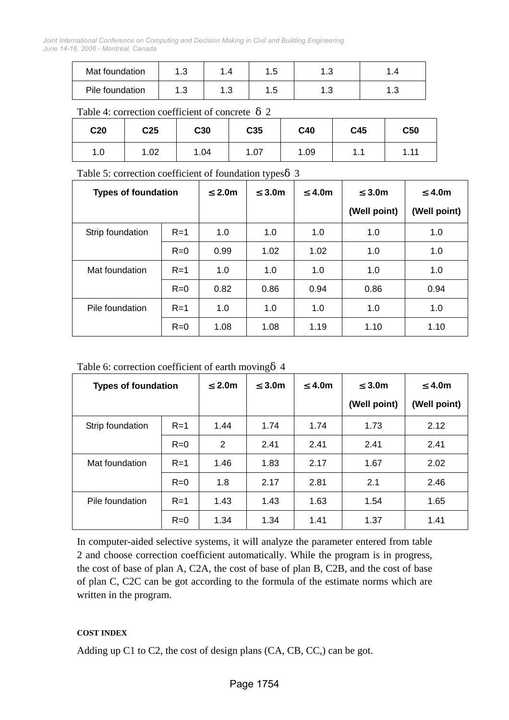*June 14-16, 2006 - Montréal, Canada Joint International Conference on Computing and Decision Making in Civil and Building Engineering*

| Mat foundation  | ں.          | -            |    | ں.        |              |
|-----------------|-------------|--------------|----|-----------|--------------|
| Pile foundation | - 1 -<br>ں. | 1. 0<br>ن. ا | ں. | 1 ລ<br>ں. | $\sim$<br>ن. |

#### Table 4: correction coefficient of concrete 2

| C <sub>20</sub> | C <sub>25</sub> | C30  | C35  | C40  | C45                 | C50  |
|-----------------|-----------------|------|------|------|---------------------|------|
| 1.0             | 1.02            | 1.04 | 1.07 | 1.09 | $\overline{A}$<br>. | 1.11 |

## Table 5: correction coefficient of foundation types 3

| <b>Types of foundation</b> |       | 2.0 <sub>m</sub> | 3.0 <sub>m</sub> | 4.0m | 3.0 <sub>m</sub> | 4.0 <sub>m</sub> |
|----------------------------|-------|------------------|------------------|------|------------------|------------------|
|                            |       |                  |                  |      | (Well point)     | (Well point)     |
| Strip foundation           | $R=1$ | 1.0              | 1.0              | 1.0  | 1.0              | 1.0              |
|                            | $R=0$ | 0.99             | 1.02             | 1.02 | 1.0              | 1.0              |
| Mat foundation             | $R=1$ | 1.0              | 1.0              | 1.0  | 1.0              | 1.0              |
|                            | $R=0$ | 0.82             | 0.86             | 0.94 | 0.86             | 0.94             |
| Pile foundation            | $R=1$ | 1.0              | 1.0              | 1.0  | 1.0              | 1.0              |
|                            | $R=0$ | 1.08             | 1.08             | 1.19 | 1.10             | 1.10             |

Table 6: correction coefficient of earth moving 4

| <b>Types of foundation</b> |       | 2.0 <sub>m</sub> | 3.0 <sub>m</sub> | 4.0m | 3.0 <sub>m</sub> | 4.0m         |
|----------------------------|-------|------------------|------------------|------|------------------|--------------|
|                            |       |                  |                  |      | (Well point)     | (Well point) |
| Strip foundation           | $R=1$ | 1.44             | 1.74             | 1.74 | 1.73             | 2.12         |
|                            | $R=0$ | $\overline{2}$   | 2.41             | 2.41 | 2.41             | 2.41         |
| Mat foundation             | $R=1$ | 1.46             | 1.83             | 2.17 | 1.67             | 2.02         |
|                            | $R=0$ | 1.8              | 2.17             | 2.81 | 2.1              | 2.46         |
| Pile foundation            | $R=1$ | 1.43             | 1.43             | 1.63 | 1.54             | 1.65         |
|                            | $R=0$ | 1.34             | 1.34             | 1.41 | 1.37             | 1.41         |

In computer-aided selective systems, it will analyze the parameter entered from table 2 and choose correction coefficient automatically. While the program is in progress, the cost of base of plan A, C2A, the cost of base of plan B, C2B, and the cost of base of plan C, C2C can be got according to the formula of the estimate norms which are written in the program.

## **COST INDEX**

Adding up C1 to C2, the cost of design plans (CA, CB, CC,) can be got.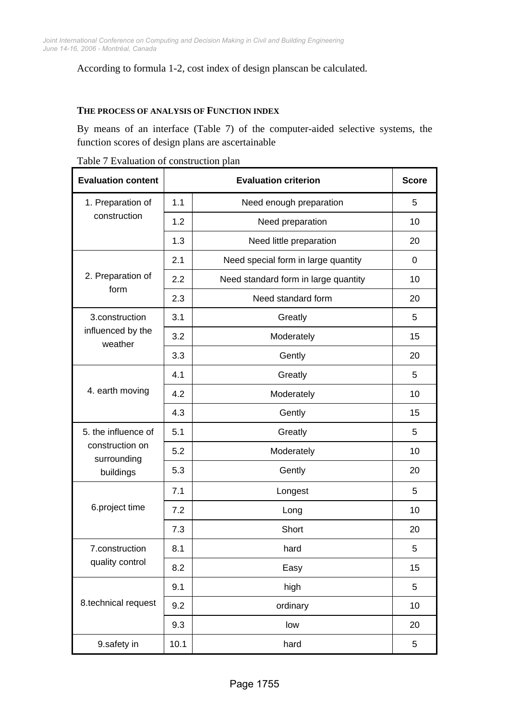# According to formula 1-2, cost index of design planscan be calculated.

#### **THE PROCESS OF ANALYSIS OF FUNCTION INDEX**

By means of an interface (Table 7) of the computer-aided selective systems, the function scores of design plans are ascertainable

|  |  | Table 7 Evaluation of construction plan |  |
|--|--|-----------------------------------------|--|
|--|--|-----------------------------------------|--|

| <b>Evaluation content</b>      |      | <b>Evaluation criterion</b>          |    |  |  |  |  |
|--------------------------------|------|--------------------------------------|----|--|--|--|--|
| 1. Preparation of              | 1.1  | Need enough preparation              | 5  |  |  |  |  |
| construction                   | 1.2  | Need preparation                     | 10 |  |  |  |  |
|                                | 1.3  | Need little preparation              | 20 |  |  |  |  |
|                                | 2.1  | Need special form in large quantity  | 0  |  |  |  |  |
| 2. Preparation of<br>form      | 2.2  | Need standard form in large quantity | 10 |  |  |  |  |
|                                | 2.3  | Need standard form                   | 20 |  |  |  |  |
| 3.construction                 | 3.1  | Greatly                              | 5  |  |  |  |  |
| influenced by the<br>weather   | 3.2  | Moderately                           | 15 |  |  |  |  |
|                                | 3.3  | Gently                               | 20 |  |  |  |  |
|                                | 4.1  | Greatly                              | 5  |  |  |  |  |
| 4. earth moving                | 4.2  | Moderately                           | 10 |  |  |  |  |
|                                | 4.3  | Gently                               | 15 |  |  |  |  |
| 5. the influence of            | 5.1  | Greatly                              | 5  |  |  |  |  |
| construction on<br>surrounding | 5.2  | Moderately                           | 10 |  |  |  |  |
| buildings                      | 5.3  | Gently                               | 20 |  |  |  |  |
|                                | 7.1  | Longest                              | 5  |  |  |  |  |
| 6.project time                 | 7.2  | Long                                 | 10 |  |  |  |  |
|                                | 7.3  | Short                                | 20 |  |  |  |  |
| 7.construction                 | 8.1  | hard                                 | 5  |  |  |  |  |
| quality control                | 8.2  | Easy                                 | 15 |  |  |  |  |
|                                | 9.1  | high                                 | 5  |  |  |  |  |
| 8.technical request            | 9.2  | ordinary                             | 10 |  |  |  |  |
|                                | 9.3  | low                                  | 20 |  |  |  |  |
| 9.safety in                    | 10.1 | hard                                 | 5  |  |  |  |  |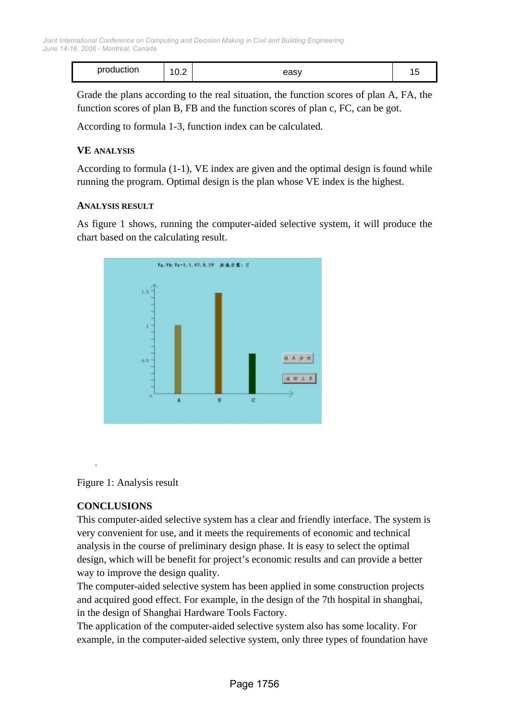| production | ח<br>$\sim$<br>$\mathsf{U}.\mathsf{L}$ | easy | . . |
|------------|----------------------------------------|------|-----|
|------------|----------------------------------------|------|-----|

Grade the plans according to the real situation, the function scores of plan A, FA, the function scores of plan B, FB and the function scores of plan c, FC, can be got.

According to formula 1-3, function index can be calculated.

## **VE ANALYSIS**

According to formula (1-1), VE index are given and the optimal design is found while running the program. Optimal design is the plan whose VE index is the highest.

#### **ANALYSIS RESULT**

As figure 1 shows, running the computer-aided selective system, it will produce the chart based on the calculating result.



Figure 1: Analysis result

## **CONCLUSIONS**

.

This computer-aided selective system has a clear and friendly interface. The system is very convenient for use, and it meets the requirements of economic and technical analysis in the course of preliminary design phase. It is easy to select the optimal design, which will be benefit for project's economic results and can provide a better way to improve the design quality.

The computer-aided selective system has been applied in some construction projects and acquired good effect. For example, in the design of the 7th hospital in shanghai, in the design of Shanghai Hardware Tools Factory.

The application of the computer-aided selective system also has some locality. For example, in the computer-aided selective system, only three types of foundation have